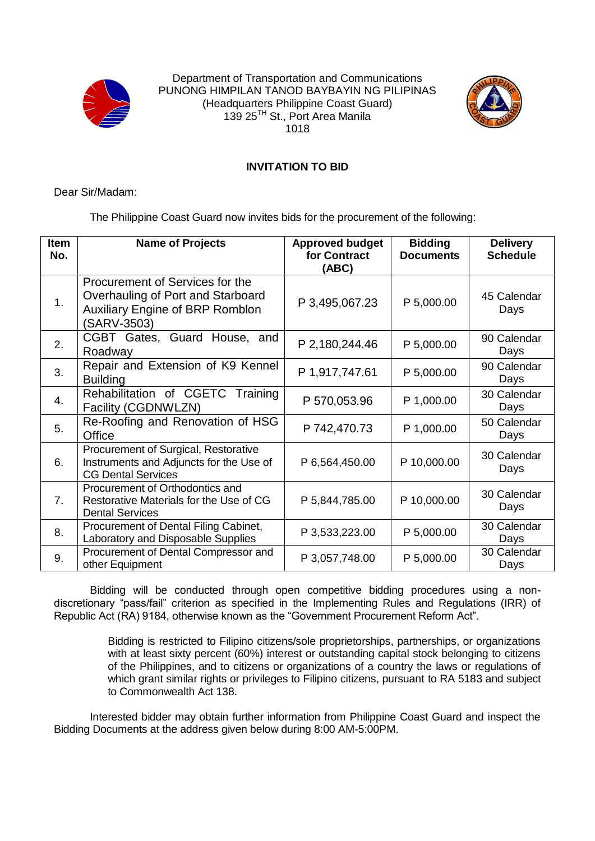

Department of Transportation and Communications PUNONG HIMPILAN TANOD BAYBAYIN NG PILIPINAS (Headquarters Philippine Coast Guard) 139 25<sup>TH</sup> St., Port Area Manila 1018



## **INVITATION TO BID**

Dear Sir/Madam:

The Philippine Coast Guard now invites bids for the procurement of the following:

| <b>Item</b><br>No. | <b>Name of Projects</b>                                                                                                       | <b>Approved budget</b><br>for Contract<br>(ABC) | <b>Bidding</b><br><b>Documents</b> | <b>Delivery</b><br><b>Schedule</b> |
|--------------------|-------------------------------------------------------------------------------------------------------------------------------|-------------------------------------------------|------------------------------------|------------------------------------|
| 1.                 | Procurement of Services for the<br>Overhauling of Port and Starboard<br><b>Auxiliary Engine of BRP Romblon</b><br>(SARV-3503) | P 3,495,067.23                                  | P 5,000.00                         | 45 Calendar<br>Days                |
| 2.                 | CGBT Gates, Guard House, and<br>Roadway                                                                                       | P 2,180,244.46                                  | P 5,000.00                         | 90 Calendar<br>Days                |
| 3.                 | Repair and Extension of K9 Kennel<br><b>Building</b>                                                                          | P 1,917,747.61                                  | P 5,000.00                         | 90 Calendar<br>Days                |
| 4.                 | Rehabilitation of CGETC Training<br>Facility (CGDNWLZN)                                                                       | P 570,053.96                                    | P 1,000.00                         | 30 Calendar<br>Days                |
| 5.                 | Re-Roofing and Renovation of HSG<br>Office                                                                                    | P 742,470.73                                    | P 1,000.00                         | 50 Calendar<br>Days                |
| 6.                 | Procurement of Surgical, Restorative<br>Instruments and Adjuncts for the Use of<br><b>CG Dental Services</b>                  | P 6,564,450.00                                  | P 10,000.00                        | 30 Calendar<br>Days                |
| 7.                 | Procurement of Orthodontics and<br>Restorative Materials for the Use of CG<br><b>Dental Services</b>                          | P 5,844,785.00                                  | P 10,000.00                        | 30 Calendar<br>Days                |
| 8.                 | Procurement of Dental Filing Cabinet,<br>Laboratory and Disposable Supplies                                                   | P 3,533,223.00                                  | P 5,000.00                         | 30 Calendar<br>Days                |
| 9.                 | Procurement of Dental Compressor and<br>other Equipment                                                                       | P 3,057,748.00                                  | P 5,000.00                         | 30 Calendar<br>Days                |

Bidding will be conducted through open competitive bidding procedures using a nondiscretionary "pass/fail" criterion as specified in the Implementing Rules and Regulations (IRR) of Republic Act (RA) 9184, otherwise known as the "Government Procurement Reform Act".

> Bidding is restricted to Filipino citizens/sole proprietorships, partnerships, or organizations with at least sixty percent (60%) interest or outstanding capital stock belonging to citizens of the Philippines, and to citizens or organizations of a country the laws or regulations of which grant similar rights or privileges to Filipino citizens, pursuant to RA 5183 and subject to Commonwealth Act 138.

Interested bidder may obtain further information from Philippine Coast Guard and inspect the Bidding Documents at the address given below during 8:00 AM-5:00PM.